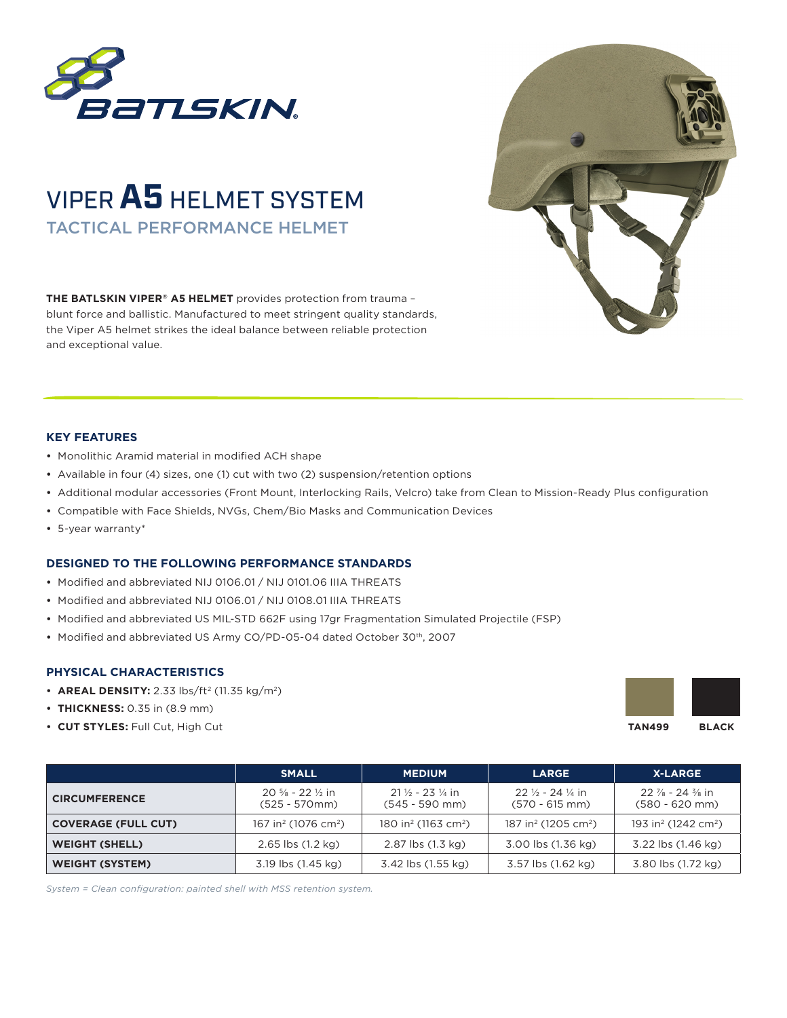

## VIPER**A5** HELMET SYSTEM TACTICAL PERFORMANCE HELMET

**THE BATLSKIN VIPER® A5 HELMET** provides protection from trauma – blunt force and ballistic. Manufactured to meet stringent quality standards, the Viper A5 helmet strikes the ideal balance between reliable protection and exceptional value.



## **KEY FEATURES**

- **•** Monolithic Aramid material in modified ACH shape
- **•** Available in four (4) sizes, one (1) cut with two (2) suspension/retention options
- **•** Additional modular accessories (Front Mount, Interlocking Rails, Velcro) take from Clean to Mission-Ready Plus configuration
- **•** Compatible with Face Shields, NVGs, Chem/Bio Masks and Communication Devices
- **•** 5-year warranty\*

## **DESIGNED TO THE FOLLOWING PERFORMANCE STANDARDS**

- **•** Modified and abbreviated NIJ 0106.01 / NIJ 0101.06 IIIA THREATS
- **•** Modified and abbreviated NIJ 0106.01 / NIJ 0108.01 IIIA THREATS
- **•** Modified and abbreviated US MIL-STD 662F using 17gr Fragmentation Simulated Projectile (FSP)
- **•** Modified and abbreviated US Army CO/PD-05-04 dated October 30th, 2007

## **PHYSICAL CHARACTERISTICS**

- **AREAL DENSITY:** 2.33  $\frac{1}{5}$  (11.35 kg/m<sup>2</sup>)
- **• THICKNESS:** 0.35 in (8.9 mm)
- **• CUT STYLES:** Full Cut, High Cut



|                            | <b>SMALL</b>                                                 | <b>MEDIUM</b>                                             | <b>LARGE</b>                                           | <b>X-LARGE</b>                                            |
|----------------------------|--------------------------------------------------------------|-----------------------------------------------------------|--------------------------------------------------------|-----------------------------------------------------------|
| <b>CIRCUMFERENCE</b>       | $20\frac{5}{8}$ - 22 $\frac{1}{2}$ in<br>$(525 - 570$ mm $)$ | $21\frac{1}{2}$ - 23 $\frac{1}{4}$ in<br>$(545 - 590$ mm) | $22\frac{1}{2} - 24\frac{1}{4}$ in<br>$(570 - 615$ mm) | $22\frac{7}{8}$ - 24 $\frac{3}{8}$ in<br>$(580 - 620$ mm) |
| <b>COVERAGE (FULL CUT)</b> | 167 in <sup>2</sup> (1076 cm <sup>2</sup> )                  | 180 in <sup>2</sup> (1163 cm <sup>2</sup> )               | 187 in <sup>2</sup> (1205 cm <sup>2</sup> )            | 193 in <sup>2</sup> (1242 cm <sup>2</sup> )               |
| <b>WEIGHT (SHELL)</b>      | $2.65$ lbs $(1.2 \text{ kg})$                                | 2.87 lbs (1.3 kg)                                         | 3.00 lbs (1.36 kg)                                     | 3.22 lbs (1.46 kg)                                        |
| <b>WEIGHT (SYSTEM)</b>     | 3.19 lbs (1.45 kg)                                           | 3.42 lbs (1.55 kg)                                        | 3.57 lbs (1.62 kg)                                     | 3.80 lbs (1.72 kg)                                        |

*System = Clean configuration: painted shell with MSS retention system.*